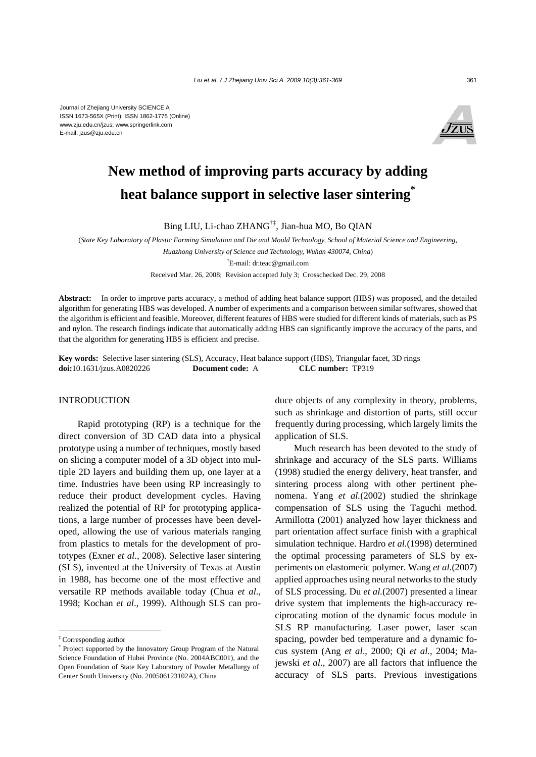Journal of Zhejiang University SCIENCE A ISSN 1673-565X (Print); ISSN 1862-1775 (Online) www.zju.edu.cn/jzus; www.springerlink.com E-mail: jzus@zju.edu.cn



# **New method of improving parts accuracy by adding heat balance support in selective laser sintering\***

Bing LIU, Li-chao ZHANG†‡, Jian-hua MO, Bo QIAN

(*State Key Laboratory of Plastic Forming Simulation and Die and Mould Technology, School of Material Science and Engineering, Huazhong University of Science and Technology, Wuhan 430074, China*)

† E-mail: dr.teac@gmail.com

Received Mar. 26, 2008; Revision accepted July 3; Crosschecked Dec. 29, 2008

**Abstract:** In order to improve parts accuracy, a method of adding heat balance support (HBS) was proposed, and the detailed algorithm for generating HBS was developed. A number of experiments and a comparison between similar softwares, showed that the algorithm is efficient and feasible. Moreover, different features of HBS were studied for different kinds of materials, such as PS and nylon. The research findings indicate that automatically adding HBS can significantly improve the accuracy of the parts, and that the algorithm for generating HBS is efficient and precise.

**Key words:** Selective laser sintering (SLS), Accuracy, Heat balance support (HBS), Triangular facet, 3D rings **doi:**10.1631/jzus.A0820226 **Document code:** A **CLC number:** TP319

#### INTRODUCTION

Rapid prototyping (RP) is a technique for the direct conversion of 3D CAD data into a physical prototype using a number of techniques, mostly based on slicing a computer model of a 3D object into multiple 2D layers and building them up, one layer at a time. Industries have been using RP increasingly to reduce their product development cycles. Having realized the potential of RP for prototyping applications, a large number of processes have been developed, allowing the use of various materials ranging from plastics to metals for the development of prototypes (Exner *et al.*, 2008). Selective laser sintering (SLS), invented at the University of Texas at Austin in 1988, has become one of the most effective and versatile RP methods available today (Chua *et al*., 1998; Kochan *et al*., 1999). Although SLS can produce objects of any complexity in theory, problems, such as shrinkage and distortion of parts, still occur frequently during processing, which largely limits the application of SLS.

Much research has been devoted to the study of shrinkage and accuracy of the SLS parts. Williams (1998) studied the energy delivery, heat transfer, and sintering process along with other pertinent phenomena. Yang *et al.*(2002) studied the shrinkage compensation of SLS using the Taguchi method. Armillotta (2001) analyzed how layer thickness and part orientation affect surface finish with a graphical simulation technique. Hardro *et al.*(1998) determined the optimal processing parameters of SLS by experiments on elastomeric polymer. Wang *et al.*(2007) applied approaches using neural networks to the study of SLS processing. Du *et al.*(2007) presented a linear drive system that implements the high-accuracy reciprocating motion of the dynamic focus module in SLS RP manufacturing. Laser power, laser scan spacing, powder bed temperature and a dynamic focus system (Ang *et al*., 2000; Qi *et al.*, 2004; Majewski *et al*., 2007) are all factors that influence the accuracy of SLS parts. Previous investigations

<sup>‡</sup> Corresponding author

<sup>\*</sup> Project supported by the Innovatory Group Program of the Natural Science Foundation of Hubei Province (No. 2004ABC001), and the Open Foundation of State Key Laboratory of Powder Metallurgy of Center South University (No. 200506123102A), China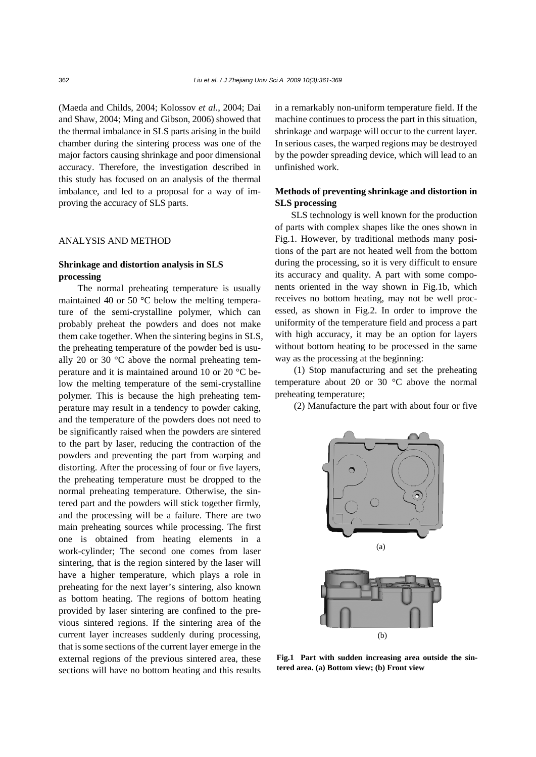(Maeda and Childs, 2004; Kolossov *et al*., 2004; Dai and Shaw, 2004; Ming and Gibson, 2006) showed that the thermal imbalance in SLS parts arising in the build chamber during the sintering process was one of the major factors causing shrinkage and poor dimensional accuracy. Therefore, the investigation described in this study has focused on an analysis of the thermal imbalance, and led to a proposal for a way of improving the accuracy of SLS parts.

# ANALYSIS AND METHOD

# **Shrinkage and distortion analysis in SLS processing**

The normal preheating temperature is usually maintained 40 or 50 °C below the melting temperature of the semi-crystalline polymer, which can probably preheat the powders and does not make them cake together. When the sintering begins in SLS, the preheating temperature of the powder bed is usually 20 or 30 °C above the normal preheating temperature and it is maintained around 10 or 20 °C below the melting temperature of the semi-crystalline polymer. This is because the high preheating temperature may result in a tendency to powder caking, and the temperature of the powders does not need to be significantly raised when the powders are sintered to the part by laser, reducing the contraction of the powders and preventing the part from warping and distorting. After the processing of four or five layers, the preheating temperature must be dropped to the normal preheating temperature. Otherwise, the sintered part and the powders will stick together firmly, and the processing will be a failure. There are two main preheating sources while processing. The first one is obtained from heating elements in a work-cylinder; The second one comes from laser sintering, that is the region sintered by the laser will have a higher temperature, which plays a role in preheating for the next layer's sintering, also known as bottom heating. The regions of bottom heating provided by laser sintering are confined to the previous sintered regions. If the sintering area of the current layer increases suddenly during processing, that is some sections of the current layer emerge in the external regions of the previous sintered area, these sections will have no bottom heating and this results

in a remarkably non-uniform temperature field. If the machine continues to process the part in this situation, shrinkage and warpage will occur to the current layer. In serious cases, the warped regions may be destroyed by the powder spreading device, which will lead to an unfinished work.

# **Methods of preventing shrinkage and distortion in SLS processing**

SLS technology is well known for the production of parts with complex shapes like the ones shown in Fig.1. However, by traditional methods many positions of the part are not heated well from the bottom during the processing, so it is very difficult to ensure its accuracy and quality. A part with some components oriented in the way shown in Fig.1b, which receives no bottom heating, may not be well processed, as shown in Fig.2. In order to improve the uniformity of the temperature field and process a part with high accuracy, it may be an option for layers without bottom heating to be processed in the same way as the processing at the beginning:

(1) Stop manufacturing and set the preheating temperature about 20 or 30 °C above the normal preheating temperature;

(2) Manufacture the part with about four or five



**Fig.1 Part with sudden increasing area outside the sintered area. (a) Bottom view; (b) Front view**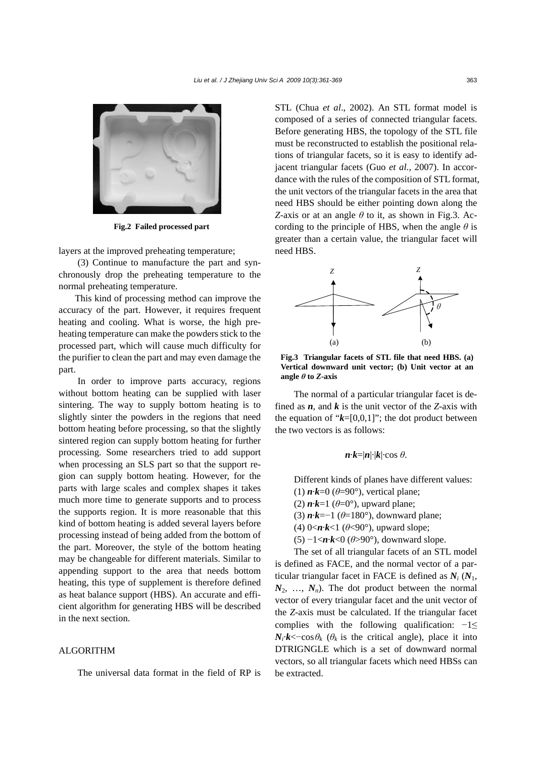

**Fig.2 Failed processed part** 

layers at the improved preheating temperature;

(3) Continue to manufacture the part and synchronously drop the preheating temperature to the normal preheating temperature.

This kind of processing method can improve the accuracy of the part. However, it requires frequent heating and cooling. What is worse, the high preheating temperature can make the powders stick to the processed part, which will cause much difficulty for the purifier to clean the part and may even damage the part.

In order to improve parts accuracy, regions without bottom heating can be supplied with laser sintering. The way to supply bottom heating is to slightly sinter the powders in the regions that need bottom heating before processing, so that the slightly sintered region can supply bottom heating for further processing. Some researchers tried to add support when processing an SLS part so that the support region can supply bottom heating. However, for the parts with large scales and complex shapes it takes much more time to generate supports and to process the supports region. It is more reasonable that this kind of bottom heating is added several layers before processing instead of being added from the bottom of the part. Moreover, the style of the bottom heating may be changeable for different materials. Similar to appending support to the area that needs bottom heating, this type of supplement is therefore defined as heat balance support (HBS). An accurate and efficient algorithm for generating HBS will be described in the next section.

## ALGORITHM

The universal data format in the field of RP is

STL (Chua *et al*., 2002). An STL format model is composed of a series of connected triangular facets. Before generating HBS, the topology of the STL file must be reconstructed to establish the positional relations of triangular facets, so it is easy to identify adjacent triangular facets (Guo *et al.*, 2007). In accordance with the rules of the composition of STL format, the unit vectors of the triangular facets in the area that need HBS should be either pointing down along the *Z*-axis or at an angle  $\theta$  to it, as shown in Fig.3. According to the principle of HBS, when the angle  $\theta$  is greater than a certain value, the triangular facet will need HBS.



**Fig.3 Triangular facets of STL file that need HBS. (a) Vertical downward unit vector; (b) Unit vector at an angle** *θ* **to** *Z***-axis** 

The normal of a particular triangular facet is defined as *n*, and *k* is the unit vector of the *Z*-axis with the equation of " $k=[0,0,1]$ "; the dot product between the two vectors is as follows:

$$
n \cdot k = |n| \cdot |k| \cdot \cos \theta.
$$

Different kinds of planes have different values: (1)  $\mathbf{n} \cdot \mathbf{k} = 0$  ( $\theta = 90^\circ$ ), vertical plane;

(2)  $\mathbf{n} \cdot \mathbf{k} = 1$  ( $\theta = 0^{\circ}$ ), upward plane;

(3) *n*·*k*=−1 (*θ*=180°), downward plane;

(4) 0<*n*·*k*<1 (*θ*<90°), upward slope;

(5) −1<*n*·*k*<0 (*θ*>90°), downward slope.

The set of all triangular facets of an STL model is defined as FACE, and the normal vector of a particular triangular facet in FACE is defined as  $N_i$  ( $N_1$ ,  $N_2$ , ...,  $N_n$ ). The dot product between the normal vector of every triangular facet and the unit vector of the *Z*-axis must be calculated. If the triangular facet complies with the following qualification:  $-1 \leq$  $N_i$ **·k**<−cos $\theta_k$  ( $\theta_k$  is the critical angle), place it into DTRIGNGLE which is a set of downward normal vectors, so all triangular facets which need HBSs can be extracted.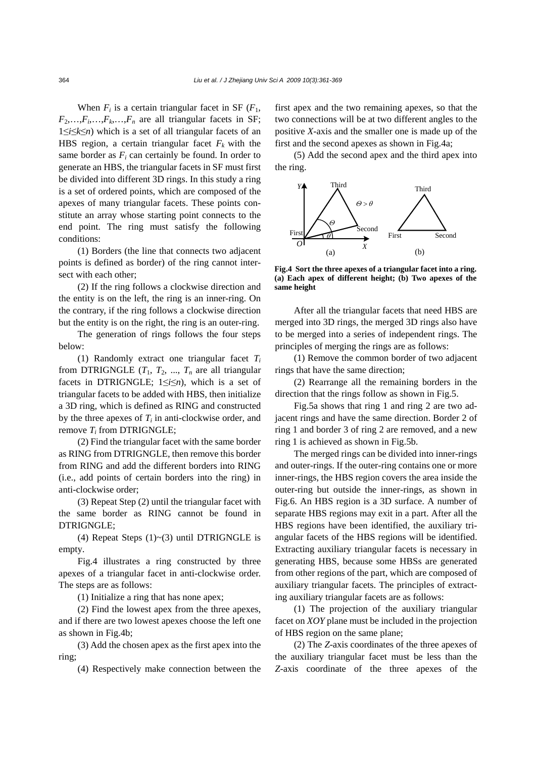When  $F_i$  is a certain triangular facet in SF  $(F_1,$  $F_2, \ldots, F_i, \ldots, F_k, \ldots, F_n$  are all triangular facets in SF; 1≤*i*≤*k*≤*n*) which is a set of all triangular facets of an HBS region, a certain triangular facet  $F_k$  with the same border as  $F_i$  can certainly be found. In order to generate an HBS, the triangular facets in SF must first be divided into different 3D rings. In this study a ring is a set of ordered points, which are composed of the apexes of many triangular facets. These points constitute an array whose starting point connects to the end point. The ring must satisfy the following conditions:

(1) Borders (the line that connects two adjacent points is defined as border) of the ring cannot intersect with each other;

(2) If the ring follows a clockwise direction and the entity is on the left, the ring is an inner-ring. On the contrary, if the ring follows a clockwise direction but the entity is on the right, the ring is an outer-ring.

The generation of rings follows the four steps below:

(1) Randomly extract one triangular facet *Ti* from DTRIGNGLE  $(T_1, T_2, ..., T_n)$  are all triangular facets in DTRIGNGLE; 1≤*i*≤*n*), which is a set of triangular facets to be added with HBS, then initialize a 3D ring, which is defined as RING and constructed by the three apexes of  $T_i$  in anti-clockwise order, and remove  $T_i$  from DTRIGNGLE;

(2) Find the triangular facet with the same border as RING from DTRIGNGLE, then remove this border from RING and add the different borders into RING (i.e., add points of certain borders into the ring) in anti-clockwise order;

(3) Repeat Step (2) until the triangular facet with the same border as RING cannot be found in DTRIGNGLE;

(4) Repeat Steps  $(1)$ ~ $(3)$  until DTRIGNGLE is empty.

Fig.4 illustrates a ring constructed by three apexes of a triangular facet in anti-clockwise order. The steps are as follows:

(1) Initialize a ring that has none apex;

(2) Find the lowest apex from the three apexes, and if there are two lowest apexes choose the left one as shown in Fig.4b;

(3) Add the chosen apex as the first apex into the ring;

(4) Respectively make connection between the

first apex and the two remaining apexes, so that the two connections will be at two different angles to the positive *X*-axis and the smaller one is made up of the first and the second apexes as shown in Fig.4a;

(5) Add the second apex and the third apex into the ring.



**Fig.4 Sort the three apexes of a triangular facet into a ring. (a) Each apex of different height; (b) Two apexes of the same height**

After all the triangular facets that need HBS are merged into 3D rings, the merged 3D rings also have to be merged into a series of independent rings. The principles of merging the rings are as follows:

(1) Remove the common border of two adjacent rings that have the same direction;

(2) Rearrange all the remaining borders in the direction that the rings follow as shown in Fig.5.

Fig.5a shows that ring 1 and ring 2 are two adjacent rings and have the same direction. Border 2 of ring 1 and border 3 of ring 2 are removed, and a new ring 1 is achieved as shown in Fig.5b.

The merged rings can be divided into inner-rings and outer-rings. If the outer-ring contains one or more inner-rings, the HBS region covers the area inside the outer-ring but outside the inner-rings, as shown in Fig.6. An HBS region is a 3D surface. A number of separate HBS regions may exit in a part. After all the HBS regions have been identified, the auxiliary triangular facets of the HBS regions will be identified. Extracting auxiliary triangular facets is necessary in generating HBS, because some HBSs are generated from other regions of the part, which are composed of auxiliary triangular facets. The principles of extracting auxiliary triangular facets are as follows:

(1) The projection of the auxiliary triangular facet on *XOY* plane must be included in the projection of HBS region on the same plane;

(2) The *Z*-axis coordinates of the three apexes of the auxiliary triangular facet must be less than the *Z*-axis coordinate of the three apexes of the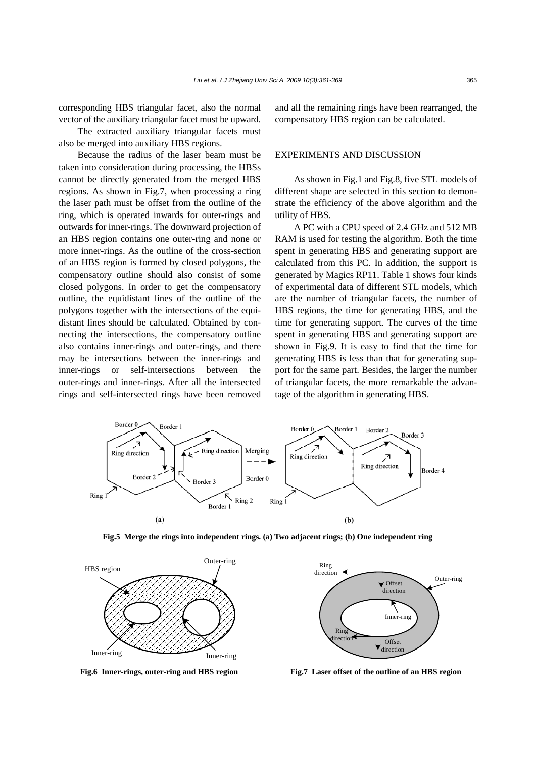corresponding HBS triangular facet, also the normal vector of the auxiliary triangular facet must be upward.

The extracted auxiliary triangular facets must also be merged into auxiliary HBS regions.

Because the radius of the laser beam must be taken into consideration during processing, the HBSs cannot be directly generated from the merged HBS regions. As shown in Fig.7, when processing a ring the laser path must be offset from the outline of the ring, which is operated inwards for outer-rings and outwards for inner-rings. The downward projection of an HBS region contains one outer-ring and none or more inner-rings. As the outline of the cross-section of an HBS region is formed by closed polygons, the compensatory outline should also consist of some closed polygons. In order to get the compensatory outline, the equidistant lines of the outline of the polygons together with the intersections of the equidistant lines should be calculated. Obtained by connecting the intersections, the compensatory outline also contains inner-rings and outer-rings, and there may be intersections between the inner-rings and inner-rings or self-intersections between the outer-rings and inner-rings. After all the intersected rings and self-intersected rings have been removed and all the remaining rings have been rearranged, the compensatory HBS region can be calculated.

## EXPERIMENTS AND DISCUSSION

As shown in Fig.1 and Fig.8, five STL models of different shape are selected in this section to demonstrate the efficiency of the above algorithm and the utility of HBS.

A PC with a CPU speed of 2.4 GHz and 512 MB RAM is used for testing the algorithm. Both the time spent in generating HBS and generating support are calculated from this PC. In addition, the support is generated by Magics RP11. Table 1 shows four kinds of experimental data of different STL models, which are the number of triangular facets, the number of HBS regions, the time for generating HBS, and the time for generating support. The curves of the time spent in generating HBS and generating support are shown in Fig.9. It is easy to find that the time for generating HBS is less than that for generating support for the same part. Besides, the larger the number of triangular facets, the more remarkable the advantage of the algorithm in generating HBS.



**Fig.5 Merge the rings into independent rings. (a) Two adjacent rings; (b) One independent ring** 



**Fig.6 Inner-rings, outer-ring and HBS region** 



**Fig.7 Laser offset of the outline of an HBS region**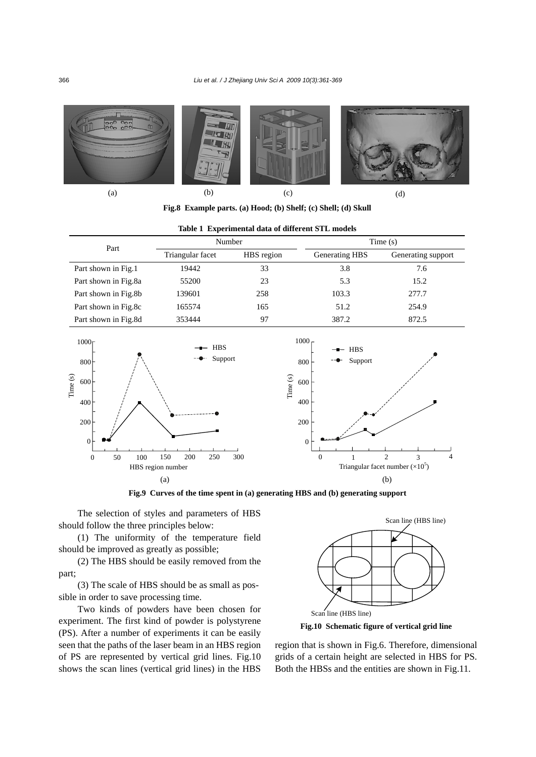

**Fig.8 Example parts. (a) Hood; (b) Shelf; (c) Shell; (d) Skull**

| Table 1 Experimental data of different STL models |                  |            |                |                    |  |  |  |  |  |
|---------------------------------------------------|------------------|------------|----------------|--------------------|--|--|--|--|--|
| Part                                              | Number           |            | Time $(s)$     |                    |  |  |  |  |  |
|                                                   | Triangular facet | HBS region | Generating HBS | Generating support |  |  |  |  |  |
| Part shown in Fig.1                               | 19442            | 33         | 3.8            | 7.6                |  |  |  |  |  |
| Part shown in Fig.8a                              | 55200            | 23         | 5.3            | 15.2               |  |  |  |  |  |
| Part shown in Fig.8b                              | 139601           | 258        | 103.3          | 277.7              |  |  |  |  |  |
| Part shown in Fig.8c                              | 165574           | 165        | 51.2           | 254.9              |  |  |  |  |  |
| Part shown in Fig.8d                              | 353444           | 97         | 387.2          | 872.5              |  |  |  |  |  |



**Fig.9 Curves of the time spent in (a) generating HBS and (b) generating support** 

The selection of styles and parameters of HBS should follow the three principles below:

(1) The uniformity of the temperature field should be improved as greatly as possible;

(2) The HBS should be easily removed from the part;

(3) The scale of HBS should be as small as possible in order to save processing time.

Two kinds of powders have been chosen for experiment. The first kind of powder is polystyrene (PS). After a number of experiments it can be easily seen that the paths of the laser beam in an HBS region of PS are represented by vertical grid lines. Fig.10 shows the scan lines (vertical grid lines) in the HBS



**Fig.10 Schematic figure of vertical grid line** 

region that is shown in Fig.6. Therefore, dimensional grids of a certain height are selected in HBS for PS. Both the HBSs and the entities are shown in Fig.11.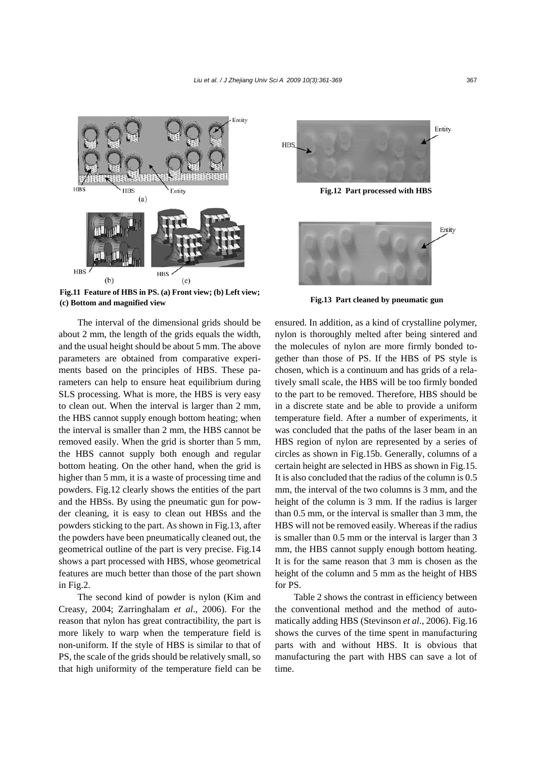

**Fig.11 Feature of HBS in PS. (a) Front view; (b) Left view; (c) Bottom and magnified view** 

The interval of the dimensional grids should be about 2 mm, the length of the grids equals the width, and the usual height should be about 5 mm. The above parameters are obtained from comparative experiments based on the principles of HBS. These parameters can help to ensure heat equilibrium during SLS processing. What is more, the HBS is very easy to clean out. When the interval is larger than 2 mm, the HBS cannot supply enough bottom heating; when the interval is smaller than 2 mm, the HBS cannot be removed easily. When the grid is shorter than 5 mm, the HBS cannot supply both enough and regular bottom heating. On the other hand, when the grid is higher than 5 mm, it is a waste of processing time and powders. Fig.12 clearly shows the entities of the part and the HBSs. By using the pneumatic gun for powder cleaning, it is easy to clean out HBSs and the powders sticking to the part. As shown in Fig.13, after the powders have been pneumatically cleaned out, the geometrical outline of the part is very precise. Fig.14 shows a part processed with HBS, whose geometrical features are much better than those of the part shown in Fig.2.

The second kind of powder is nylon (Kim and Creasy, 2004; Zarringhalam *et al*., 2006). For the reason that nylon has great contractibility, the part is more likely to warp when the temperature field is non-uniform. If the style of HBS is similar to that of PS, the scale of the grids should be relatively small, so that high uniformity of the temperature field can be



**Fig.12 Part processed with HBS** 



**Fig.13 Part cleaned by pneumatic gun** 

ensured. In addition, as a kind of crystalline polymer, nylon is thoroughly melted after being sintered and the molecules of nylon are more firmly bonded together than those of PS. If the HBS of PS style is chosen, which is a continuum and has grids of a relatively small scale, the HBS will be too firmly bonded to the part to be removed. Therefore, HBS should be in a discrete state and be able to provide a uniform temperature field. After a number of experiments, it was concluded that the paths of the laser beam in an HBS region of nylon are represented by a series of circles as shown in Fig.15b. Generally, columns of a certain height are selected in HBS as shown in Fig.15. It is also concluded that the radius of the column is 0.5 mm, the interval of the two columns is 3 mm, and the height of the column is 3 mm. If the radius is larger than 0.5 mm, or the interval is smaller than 3 mm, the HBS will not be removed easily. Whereas if the radius is smaller than 0.5 mm or the interval is larger than 3 mm, the HBS cannot supply enough bottom heating. It is for the same reason that 3 mm is chosen as the height of the column and 5 mm as the height of HBS for PS.

Table 2 shows the contrast in efficiency between the conventional method and the method of automatically adding HBS (Stevinson *et al*., 2006). Fig.16 shows the curves of the time spent in manufacturing parts with and without HBS. It is obvious that manufacturing the part with HBS can save a lot of time.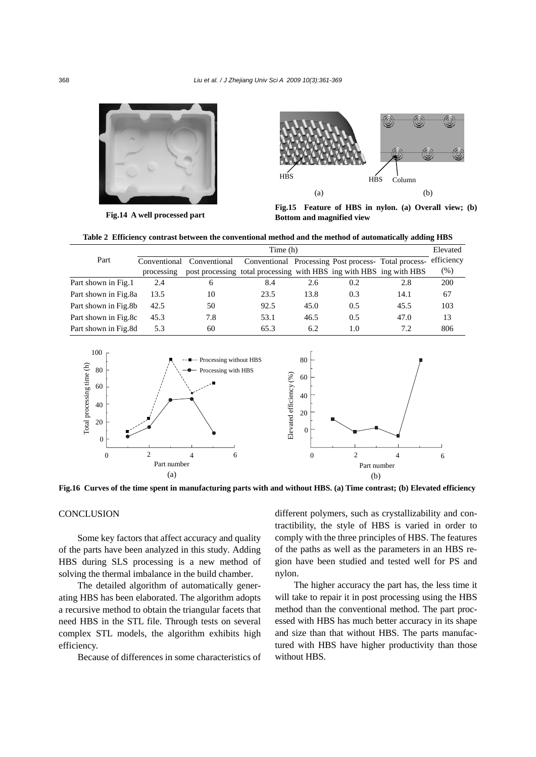

**Fig.14 A well processed part** 



**Fig.15 Feature of HBS in nylon. (a) Overall view; (b) Bottom and magnified view** 

**Table 2 Efficiency contrast between the conventional method and the method of automatically adding HBS** 

|                      | Time $(h)$ |                                                                     |                                                      |      |     |      |            |  |
|----------------------|------------|---------------------------------------------------------------------|------------------------------------------------------|------|-----|------|------------|--|
| Part                 |            | Conventional Conventional                                           | Conventional Processing Post process- Total process- |      |     |      | efficiency |  |
|                      | processing | post processing total processing with HBS ing with HBS ing with HBS |                                                      |      |     |      | $(\% )$    |  |
| Part shown in Fig.1  | 2.4        | 6                                                                   | 8.4                                                  | 2.6  | 0.2 | 2.8  | 200        |  |
| Part shown in Fig.8a | 13.5       | 10                                                                  | 23.5                                                 | 13.8 | 0.3 | 14.1 | 67         |  |
| Part shown in Fig.8b | 42.5       | 50                                                                  | 92.5                                                 | 45.0 | 0.5 | 45.5 | 103        |  |
| Part shown in Fig.8c | 45.3       | 7.8                                                                 | 53.1                                                 | 46.5 | 0.5 | 47.0 | 13         |  |
| Part shown in Fig.8d | 5.3        | 60                                                                  | 65.3                                                 | 6.2  | 1.0 | 7.2  | 806        |  |



**Fig.16 Curves of the time spent in manufacturing parts with and without HBS. (a) Time contrast; (b) Elevated efficiency**

#### **CONCLUSION**

Some key factors that affect accuracy and quality of the parts have been analyzed in this study. Adding HBS during SLS processing is a new method of solving the thermal imbalance in the build chamber.

The detailed algorithm of automatically generating HBS has been elaborated. The algorithm adopts a recursive method to obtain the triangular facets that need HBS in the STL file. Through tests on several complex STL models, the algorithm exhibits high efficiency.

Because of differences in some characteristics of

different polymers, such as crystallizability and contractibility, the style of HBS is varied in order to comply with the three principles of HBS. The features of the paths as well as the parameters in an HBS region have been studied and tested well for PS and nylon.

The higher accuracy the part has, the less time it will take to repair it in post processing using the HBS method than the conventional method. The part processed with HBS has much better accuracy in its shape and size than that without HBS. The parts manufactured with HBS have higher productivity than those without HBS.